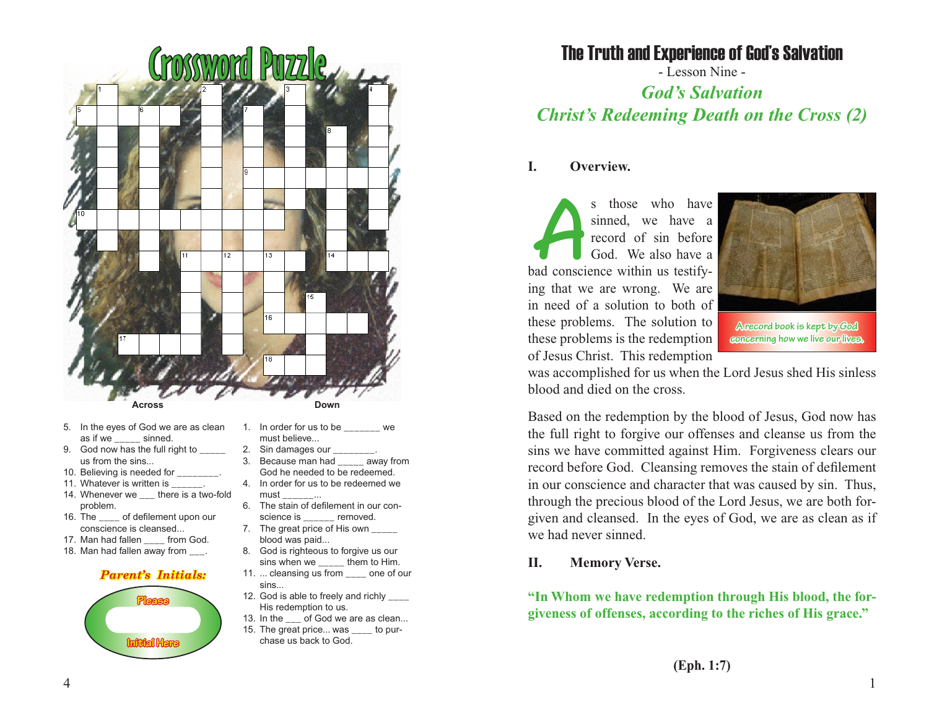

- 5. In the eyes of God we are as clean as if we sinned.
- 9. God now has the full right to \_\_\_\_\_\_ us from the sins...
- 10. Believing is needed for
- 11. Whatever is written is \_\_\_\_\_\_.
- 14. Whenever we there is a two-fold problem.
- 16. The \_\_\_\_ of defilement upon our conscience is cleansed...
- 17. Man had fallen from God.
- 18. Man had fallen away from .

#### *Parent's Initials:*



- **Down**
- 1. In order for us to be we must believe...
- 2. Sin damages our
- 3. Because man had \_\_\_\_\_ away from God he needed to be redeemed.
- 4. In order for us to be redeemed we must \_\_\_\_\_\_...
- 6. The stain of defilement in our conscience is \_\_\_\_\_\_ removed.
- 7. The great price of His own \_\_\_\_\_ blood was paid...
- 8. God is righteous to forgive us our sins when we \_\_\_\_\_\_ them to Him.
- 11. ... cleansing us from one of our sins...
- 12. God is able to freely and richly \_\_\_\_ His redemption to us.
- 13. In the of God we are as clean...
- 15. The great price... was \_\_\_\_ to purchase us back to God.

# The Truth and Experience of God's Salvation

- Lesson Nine - *God's Salvation Christ's Redeeming Death on the Cross (2)*

# **I. Overview.**

s those who have<br>
sinned, we have a<br>
record of sin before<br>
God. We also have a<br>
bad conscience within us testifysinned, we have a record of sin before God. We also have a ing that we are wrong. We are in need of a solution to both of these problems. The solution to these problems is the redemption of Jesus Christ. This redemption



**A record book is kept by God concerning how we live our lives.**

was accomplished for us when the Lord Jesus shed His sinless blood and died on the cross.

Based on the redemption by the blood of Jesus, God now has the full right to forgive our offenses and cleanse us from the sins we have committed against Him. Forgiveness clears our record before God. Cleansing removes the stain of defilement in our conscience and character that was caused by sin. Thus, through the precious blood of the Lord Jesus, we are both forgiven and cleansed. In the eyes of God, we are as clean as if we had never sinned.

# **II. Memory Verse.**

**"In Whom we have redemption through His blood, the forgiveness of offenses, according to the riches of His grace."**